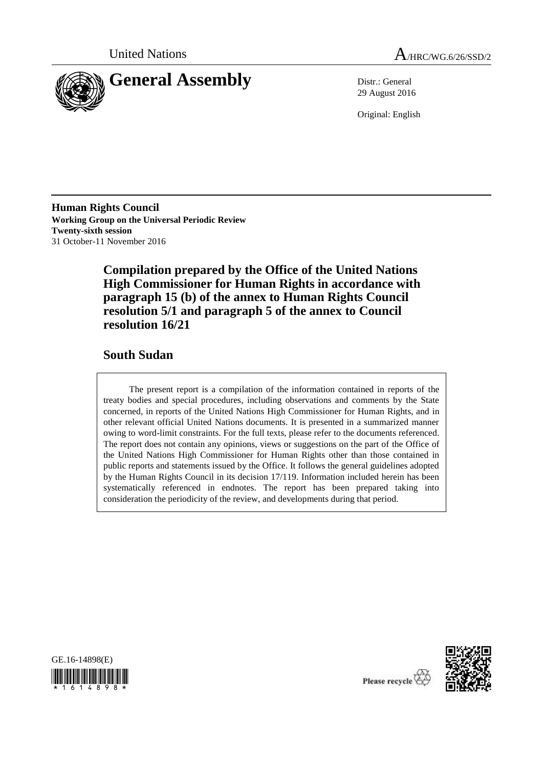



29 August 2016

Original: English

**Human Rights Council Working Group on the Universal Periodic Review Twenty-sixth session** 31 October-11 November 2016

> **Compilation prepared by the Office of the United Nations High Commissioner for Human Rights in accordance with paragraph 15 (b) of the annex to Human Rights Council resolution 5/1 and paragraph 5 of the annex to Council resolution 16/21**

## **South Sudan**

The present report is a compilation of the information contained in reports of the treaty bodies and special procedures, including observations and comments by the State concerned, in reports of the United Nations High Commissioner for Human Rights, and in other relevant official United Nations documents. It is presented in a summarized manner owing to word-limit constraints. For the full texts, please refer to the documents referenced. The report does not contain any opinions, views or suggestions on the part of the Office of the United Nations High Commissioner for Human Rights other than those contained in public reports and statements issued by the Office. It follows the general guidelines adopted by the Human Rights Council in its decision 17/119. Information included herein has been systematically referenced in endnotes. The report has been prepared taking into consideration the periodicity of the review, and developments during that period.





Please recycle<sup>Q</sup>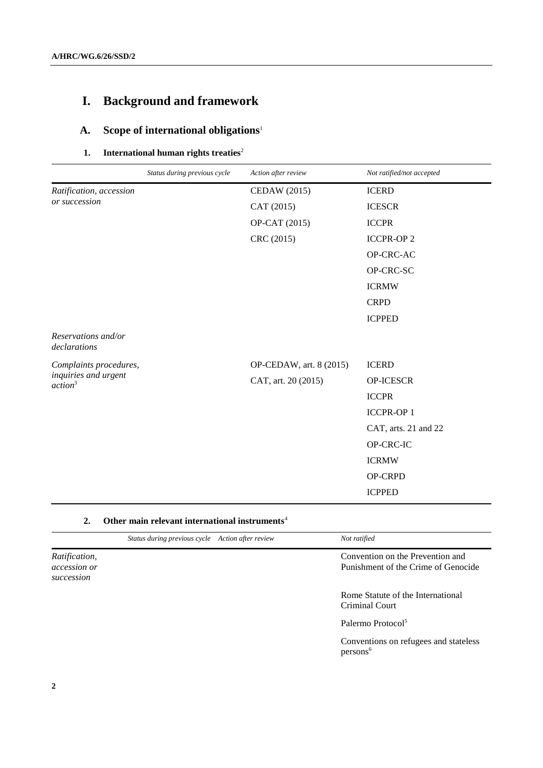# **I. Background and framework**

# **A. Scope of international obligations**<sup>1</sup>

### **1.** International human rights treaties<sup>2</sup>

|                                             | Status during previous cycle | Action after review     | Not ratified/not accepted |
|---------------------------------------------|------------------------------|-------------------------|---------------------------|
| Ratification, accession<br>or succession    |                              | CEDAW (2015)            | <b>ICERD</b>              |
|                                             |                              | CAT (2015)              | <b>ICESCR</b>             |
|                                             |                              | OP-CAT (2015)           | <b>ICCPR</b>              |
|                                             |                              | CRC (2015)              | <b>ICCPR-OP2</b>          |
|                                             |                              |                         | OP-CRC-AC                 |
|                                             |                              |                         | OP-CRC-SC                 |
|                                             |                              |                         | <b>ICRMW</b>              |
|                                             |                              |                         | <b>CRPD</b>               |
|                                             |                              |                         | <b>ICPPED</b>             |
| Reservations and/or<br>declarations         |                              |                         |                           |
| Complaints procedures,                      |                              | OP-CEDAW, art. 8 (2015) | <b>ICERD</b>              |
| inquiries and urgent<br>action <sup>3</sup> |                              | CAT, art. 20 (2015)     | <b>OP-ICESCR</b>          |
|                                             |                              |                         | <b>ICCPR</b>              |
|                                             |                              |                         | <b>ICCPR-OP1</b>          |
|                                             |                              |                         | CAT, arts. 21 and 22      |
|                                             |                              |                         | OP-CRC-IC                 |
|                                             |                              |                         | <b>ICRMW</b>              |
|                                             |                              |                         | OP-CRPD                   |
|                                             |                              |                         | <b>ICPPED</b>             |

### **2. Other main relevant international instruments**<sup>4</sup>

|                                                    | Status during previous cycle Action after review | Not ratified                                                            |
|----------------------------------------------------|--------------------------------------------------|-------------------------------------------------------------------------|
| Ratification,<br><i>accession or</i><br>succession |                                                  | Convention on the Prevention and<br>Punishment of the Crime of Genocide |
|                                                    |                                                  | Rome Statute of the International<br>Criminal Court                     |
|                                                    |                                                  | Palermo Protocol <sup>5</sup>                                           |
|                                                    |                                                  | Conventions on refugees and stateless<br>persons <sup>6</sup>           |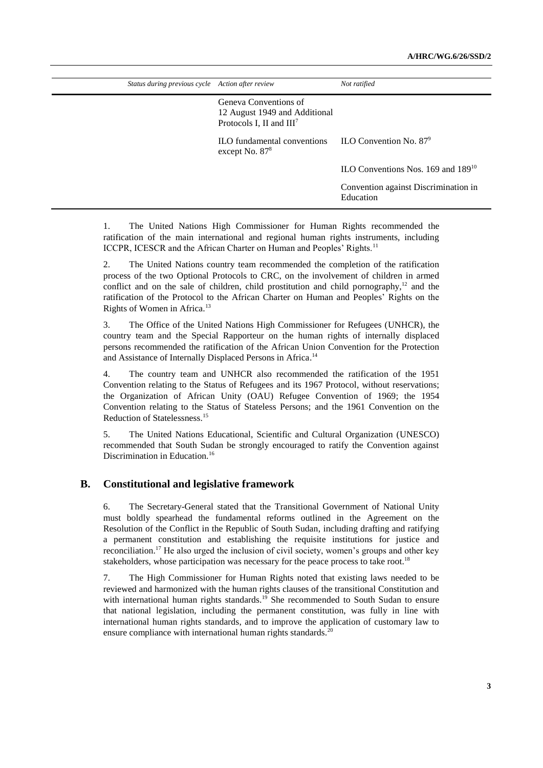| Status during previous cycle Action after review                                                         | Not ratified                                      |
|----------------------------------------------------------------------------------------------------------|---------------------------------------------------|
| Geneva Conventions of<br>12 August 1949 and Additional<br>Protocols I, II and III <sup>7</sup>           |                                                   |
| $\rm ILO$ fundamental conventions $\rm ILO$ Convention No. 87 <sup>9</sup><br>except No. 87 <sup>8</sup> |                                                   |
|                                                                                                          | ILO Conventions Nos. 169 and 189 <sup>10</sup>    |
|                                                                                                          | Convention against Discrimination in<br>Education |

1. The United Nations High Commissioner for Human Rights recommended the ratification of the main international and regional human rights instruments, including ICCPR, ICESCR and the African Charter on Human and Peoples' Rights.<sup>11</sup>

2. The United Nations country team recommended the completion of the ratification process of the two Optional Protocols to CRC, on the involvement of children in armed conflict and on the sale of children, child prostitution and child pornography, $12$  and the ratification of the Protocol to the African Charter on Human and Peoples' Rights on the Rights of Women in Africa.<sup>13</sup>

3. The Office of the United Nations High Commissioner for Refugees (UNHCR), the country team and the Special Rapporteur on the human rights of internally displaced persons recommended the ratification of the African Union Convention for the Protection and Assistance of Internally Displaced Persons in Africa.<sup>14</sup>

4. The country team and UNHCR also recommended the ratification of the 1951 Convention relating to the Status of Refugees and its 1967 Protocol, without reservations; the Organization of African Unity (OAU) Refugee Convention of 1969; the 1954 Convention relating to the Status of Stateless Persons; and the 1961 Convention on the Reduction of Statelessness. 15

5. The United Nations Educational, Scientific and Cultural Organization (UNESCO) recommended that South Sudan be strongly encouraged to ratify the Convention against Discrimination in Education.<sup>16</sup>

### **B. Constitutional and legislative framework**

6. The Secretary-General stated that the Transitional Government of National Unity must boldly spearhead the fundamental reforms outlined in the Agreement on the Resolution of the Conflict in the Republic of South Sudan, including drafting and ratifying a permanent constitution and establishing the requisite institutions for justice and reconciliation.<sup>17</sup> He also urged the inclusion of civil society, women's groups and other key stakeholders, whose participation was necessary for the peace process to take root.<sup>18</sup>

7. The High Commissioner for Human Rights noted that existing laws needed to be reviewed and harmonized with the human rights clauses of the transitional Constitution and with international human rights standards.<sup>19</sup> She recommended to South Sudan to ensure that national legislation, including the permanent constitution, was fully in line with international human rights standards, and to improve the application of customary law to ensure compliance with international human rights standards.<sup>20</sup>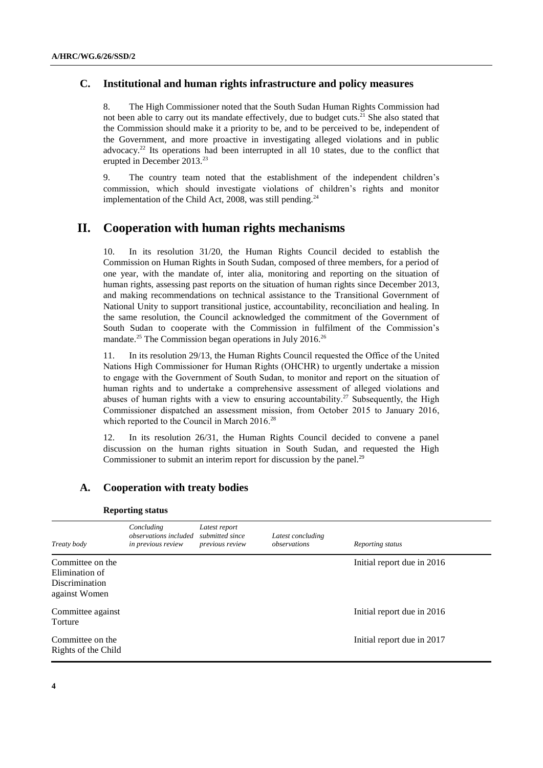### **C. Institutional and human rights infrastructure and policy measures**

8. The High Commissioner noted that the South Sudan Human Rights Commission had not been able to carry out its mandate effectively, due to budget cuts.<sup>21</sup> She also stated that the Commission should make it a priority to be, and to be perceived to be, independent of the Government, and more proactive in investigating alleged violations and in public advocacy.<sup>22</sup> Its operations had been interrupted in all 10 states, due to the conflict that erupted in December 2013.<sup>23</sup>

9. The country team noted that the establishment of the independent children's commission, which should investigate violations of children's rights and monitor implementation of the Child Act, 2008, was still pending.<sup>24</sup>

### **II. Cooperation with human rights mechanisms**

10. In its resolution 31/20, the Human Rights Council decided to establish the Commission on Human Rights in South Sudan, composed of three members, for a period of one year, with the mandate of, inter alia, monitoring and reporting on the situation of human rights, assessing past reports on the situation of human rights since December 2013, and making recommendations on technical assistance to the Transitional Government of National Unity to support transitional justice, accountability, reconciliation and healing. In the same resolution, the Council acknowledged the commitment of the Government of South Sudan to cooperate with the Commission in fulfilment of the Commission's mandate.<sup>25</sup> The Commission began operations in July 2016.<sup>26</sup>

11. In its resolution 29/13, the Human Rights Council requested the Office of the United Nations High Commissioner for Human Rights (OHCHR) to urgently undertake a mission to engage with the Government of South Sudan, to monitor and report on the situation of human rights and to undertake a comprehensive assessment of alleged violations and abuses of human rights with a view to ensuring accountability.<sup>27</sup> Subsequently, the High Commissioner dispatched an assessment mission, from October 2015 to January 2016, which reported to the Council in March 2016.<sup>28</sup>

12. In its resolution 26/31, the Human Rights Council decided to convene a panel discussion on the human rights situation in South Sudan, and requested the High Commissioner to submit an interim report for discussion by the panel.<sup>29</sup>

### **A. Cooperation with treaty bodies**

| Treaty body                                                                  | Concluding<br>observations included<br>in previous review | Latest report<br>submitted since<br>previous review | Latest concluding<br>observations | Reporting status           |
|------------------------------------------------------------------------------|-----------------------------------------------------------|-----------------------------------------------------|-----------------------------------|----------------------------|
| Committee on the<br>Elimination of<br><b>Discrimination</b><br>against Women |                                                           |                                                     |                                   | Initial report due in 2016 |
| Committee against<br>Torture                                                 |                                                           |                                                     |                                   | Initial report due in 2016 |
| Committee on the<br>Rights of the Child                                      |                                                           |                                                     |                                   | Initial report due in 2017 |

#### **Reporting status**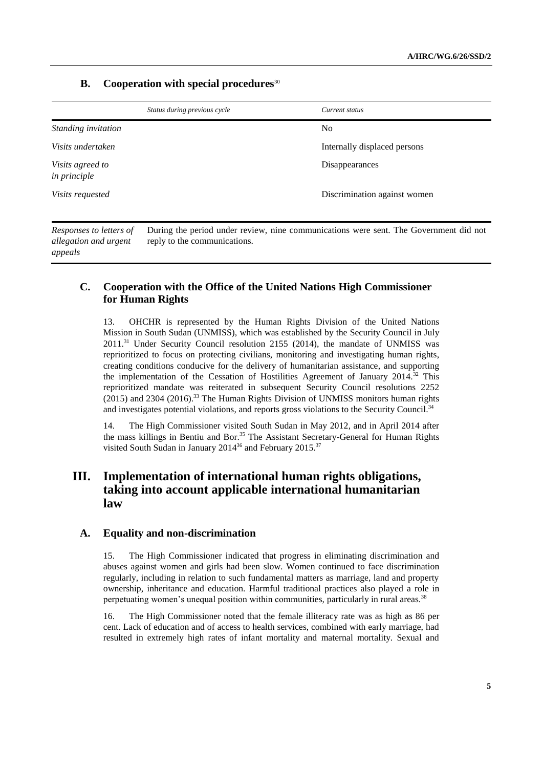### **B. Cooperation with special procedures**<sup>30</sup>

*appeals*

|                                                  | Status during previous cycle | Current status                                                                        |
|--------------------------------------------------|------------------------------|---------------------------------------------------------------------------------------|
| Standing invitation                              |                              | N <sub>0</sub>                                                                        |
| Visits undertaken                                |                              | Internally displaced persons                                                          |
| Visits agreed to<br><i>in principle</i>          |                              | Disappearances                                                                        |
| Visits requested                                 |                              | Discrimination against women                                                          |
| Responses to letters of<br>allegation and urgent | reply to the communications. | During the period under review, nine communications were sent. The Government did not |

### **C. Cooperation with the Office of the United Nations High Commissioner for Human Rights**

13. OHCHR is represented by the Human Rights Division of the United Nations Mission in South Sudan (UNMISS), which was established by the Security Council in July 2011. <sup>31</sup> Under Security Council resolution 2155 (2014), the mandate of UNMISS was reprioritized to focus on protecting civilians, monitoring and investigating human rights, creating conditions conducive for the delivery of humanitarian assistance, and supporting the implementation of the Cessation of Hostilities Agreement of January 2014.<sup>32</sup> This reprioritized mandate was reiterated in subsequent Security Council resolutions 2252 (2015) and 2304 (2016). <sup>33</sup> The Human Rights Division of UNMISS monitors human rights and investigates potential violations, and reports gross violations to the Security Council.<sup>34</sup>

14. The High Commissioner visited South Sudan in May 2012, and in April 2014 after the mass killings in Bentiu and Bor.<sup>35</sup> The Assistant Secretary-General for Human Rights visited South Sudan in January 2014<sup>36</sup> and February 2015.<sup>37</sup>

## **III. Implementation of international human rights obligations, taking into account applicable international humanitarian law**

### **A. Equality and non-discrimination**

15. The High Commissioner indicated that progress in eliminating discrimination and abuses against women and girls had been slow. Women continued to face discrimination regularly, including in relation to such fundamental matters as marriage, land and property ownership, inheritance and education. Harmful traditional practices also played a role in perpetuating women's unequal position within communities, particularly in rural areas.<sup>38</sup>

16. The High Commissioner noted that the female illiteracy rate was as high as 86 per cent. Lack of education and of access to health services, combined with early marriage, had resulted in extremely high rates of infant mortality and maternal mortality. Sexual and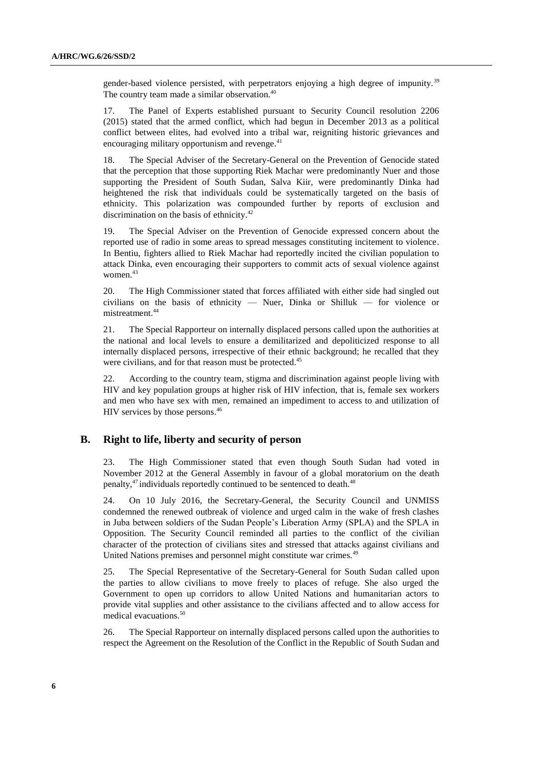gender-based violence persisted, with perpetrators enjoying a high degree of impunity.<sup>39</sup> The country team made a similar observation.<sup>40</sup>

17. The Panel of Experts established pursuant to Security Council resolution 2206 (2015) stated that the armed conflict, which had begun in December 2013 as a political conflict between elites, had evolved into a tribal war, reigniting historic grievances and encouraging military opportunism and revenge. $41$ 

18. The Special Adviser of the Secretary-General on the Prevention of Genocide stated that the perception that those supporting Riek Machar were predominantly Nuer and those supporting the President of South Sudan, Salva Kiir, were predominantly Dinka had heightened the risk that individuals could be systematically targeted on the basis of ethnicity. This polarization was compounded further by reports of exclusion and discrimination on the basis of ethnicity.<sup>42</sup>

19. The Special Adviser on the Prevention of Genocide expressed concern about the reported use of radio in some areas to spread messages constituting incitement to violence. In Bentiu, fighters allied to Riek Machar had reportedly incited the civilian population to attack Dinka, even encouraging their supporters to commit acts of sexual violence against women.<sup>43</sup>

20. The High Commissioner stated that forces affiliated with either side had singled out civilians on the basis of ethnicity — Nuer, Dinka or Shilluk — for violence or mistreatment.<sup>44</sup>

21. The Special Rapporteur on internally displaced persons called upon the authorities at the national and local levels to ensure a demilitarized and depoliticized response to all internally displaced persons, irrespective of their ethnic background; he recalled that they were civilians, and for that reason must be protected.<sup>45</sup>

22. According to the country team, stigma and discrimination against people living with HIV and key population groups at higher risk of HIV infection, that is, female sex workers and men who have sex with men, remained an impediment to access to and utilization of HIV services by those persons. 46

### **B. Right to life, liberty and security of person**

23. The High Commissioner stated that even though South Sudan had voted in November 2012 at the General Assembly in favour of a global moratorium on the death penalty,<sup>47</sup> individuals reportedly continued to be sentenced to death.<sup>48</sup>

24. On 10 July 2016, the Secretary-General, the Security Council and UNMISS condemned the renewed outbreak of violence and urged calm in the wake of fresh clashes in Juba between soldiers of the Sudan People's Liberation Army (SPLA) and the SPLA in Opposition. The Security Council reminded all parties to the conflict of the civilian character of the protection of civilians sites and stressed that attacks against civilians and United Nations premises and personnel might constitute war crimes.<sup>49</sup>

25. The Special Representative of the Secretary-General for South Sudan called upon the parties to allow civilians to move freely to places of refuge. She also urged the Government to open up corridors to allow United Nations and humanitarian actors to provide vital supplies and other assistance to the civilians affected and to allow access for medical evacuations.<sup>50</sup>

26. The Special Rapporteur on internally displaced persons called upon the authorities to respect the Agreement on the Resolution of the Conflict in the Republic of South Sudan and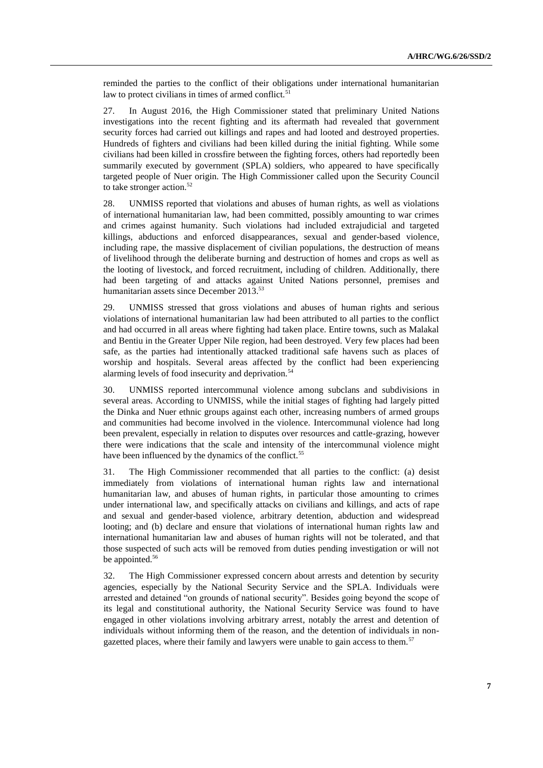reminded the parties to the conflict of their obligations under international humanitarian law to protect civilians in times of armed conflict. $51$ 

27. In August 2016, the High Commissioner stated that preliminary United Nations investigations into the recent fighting and its aftermath had revealed that government security forces had carried out killings and rapes and had looted and destroyed properties. Hundreds of fighters and civilians had been killed during the initial fighting. While some civilians had been killed in crossfire between the fighting forces, others had reportedly been summarily executed by government (SPLA) soldiers, who appeared to have specifically targeted people of Nuer origin. The High Commissioner called upon the Security Council to take stronger action.<sup>52</sup>

28. UNMISS reported that violations and abuses of human rights, as well as violations of international humanitarian law, had been committed, possibly amounting to war crimes and crimes against humanity. Such violations had included extrajudicial and targeted killings, abductions and enforced disappearances, sexual and gender-based violence, including rape, the massive displacement of civilian populations, the destruction of means of livelihood through the deliberate burning and destruction of homes and crops as well as the looting of livestock, and forced recruitment, including of children. Additionally, there had been targeting of and attacks against United Nations personnel, premises and humanitarian assets since December 2013.<sup>53</sup>

29. UNMISS stressed that gross violations and abuses of human rights and serious violations of international humanitarian law had been attributed to all parties to the conflict and had occurred in all areas where fighting had taken place. Entire towns, such as Malakal and Bentiu in the Greater Upper Nile region, had been destroyed. Very few places had been safe, as the parties had intentionally attacked traditional safe havens such as places of worship and hospitals. Several areas affected by the conflict had been experiencing alarming levels of food insecurity and deprivation.<sup>54</sup>

30. UNMISS reported intercommunal violence among subclans and subdivisions in several areas. According to UNMISS, while the initial stages of fighting had largely pitted the Dinka and Nuer ethnic groups against each other, increasing numbers of armed groups and communities had become involved in the violence. Intercommunal violence had long been prevalent, especially in relation to disputes over resources and cattle-grazing, however there were indications that the scale and intensity of the intercommunal violence might have been influenced by the dynamics of the conflict.<sup>55</sup>

31. The High Commissioner recommended that all parties to the conflict: (a) desist immediately from violations of international human rights law and international humanitarian law, and abuses of human rights, in particular those amounting to crimes under international law, and specifically attacks on civilians and killings, and acts of rape and sexual and gender-based violence, arbitrary detention, abduction and widespread looting; and (b) declare and ensure that violations of international human rights law and international humanitarian law and abuses of human rights will not be tolerated, and that those suspected of such acts will be removed from duties pending investigation or will not be appointed.<sup>56</sup>

32. The High Commissioner expressed concern about arrests and detention by security agencies, especially by the National Security Service and the SPLA. Individuals were arrested and detained "on grounds of national security". Besides going beyond the scope of its legal and constitutional authority, the National Security Service was found to have engaged in other violations involving arbitrary arrest, notably the arrest and detention of individuals without informing them of the reason, and the detention of individuals in nongazetted places, where their family and lawyers were unable to gain access to them.<sup>57</sup>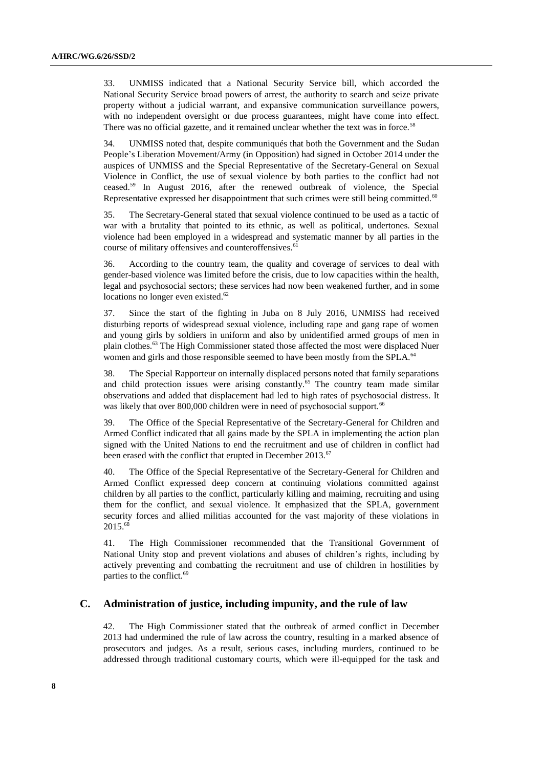33. UNMISS indicated that a National Security Service bill, which accorded the National Security Service broad powers of arrest, the authority to search and seize private property without a judicial warrant, and expansive communication surveillance powers, with no independent oversight or due process guarantees, might have come into effect. There was no official gazette, and it remained unclear whether the text was in force.<sup>58</sup>

34. UNMISS noted that, despite communiqués that both the Government and the Sudan People's Liberation Movement/Army (in Opposition) had signed in October 2014 under the auspices of UNMISS and the Special Representative of the Secretary-General on Sexual Violence in Conflict, the use of sexual violence by both parties to the conflict had not ceased.<sup>59</sup> In August 2016, after the renewed outbreak of violence, the Special Representative expressed her disappointment that such crimes were still being committed.<sup>60</sup>

35. The Secretary-General stated that sexual violence continued to be used as a tactic of war with a brutality that pointed to its ethnic, as well as political, undertones. Sexual violence had been employed in a widespread and systematic manner by all parties in the course of military offensives and counteroffensives.<sup>61</sup>

According to the country team, the quality and coverage of services to deal with gender-based violence was limited before the crisis, due to low capacities within the health, legal and psychosocial sectors; these services had now been weakened further, and in some locations no longer even existed.<sup>62</sup>

37. Since the start of the fighting in Juba on 8 July 2016, UNMISS had received disturbing reports of widespread sexual violence, including rape and gang rape of women and young girls by soldiers in uniform and also by unidentified armed groups of men in plain clothes.<sup>63</sup> The High Commissioner stated those affected the most were displaced Nuer women and girls and those responsible seemed to have been mostly from the SPLA.<sup>64</sup>

38. The Special Rapporteur on internally displaced persons noted that family separations and child protection issues were arising constantly.<sup>65</sup> The country team made similar observations and added that displacement had led to high rates of psychosocial distress. It was likely that over 800,000 children were in need of psychosocial support.<sup>66</sup>

39. The Office of the Special Representative of the Secretary-General for Children and Armed Conflict indicated that all gains made by the SPLA in implementing the action plan signed with the United Nations to end the recruitment and use of children in conflict had been erased with the conflict that erupted in December 2013.<sup>67</sup>

40. The Office of the Special Representative of the Secretary-General for Children and Armed Conflict expressed deep concern at continuing violations committed against children by all parties to the conflict, particularly killing and maiming, recruiting and using them for the conflict, and sexual violence. It emphasized that the SPLA, government security forces and allied militias accounted for the vast majority of these violations in 2015.<sup>68</sup>

41. The High Commissioner recommended that the Transitional Government of National Unity stop and prevent violations and abuses of children's rights, including by actively preventing and combatting the recruitment and use of children in hostilities by parties to the conflict.<sup>69</sup>

### **C. Administration of justice, including impunity, and the rule of law**

42. The High Commissioner stated that the outbreak of armed conflict in December 2013 had undermined the rule of law across the country, resulting in a marked absence of prosecutors and judges. As a result, serious cases, including murders, continued to be addressed through traditional customary courts, which were ill-equipped for the task and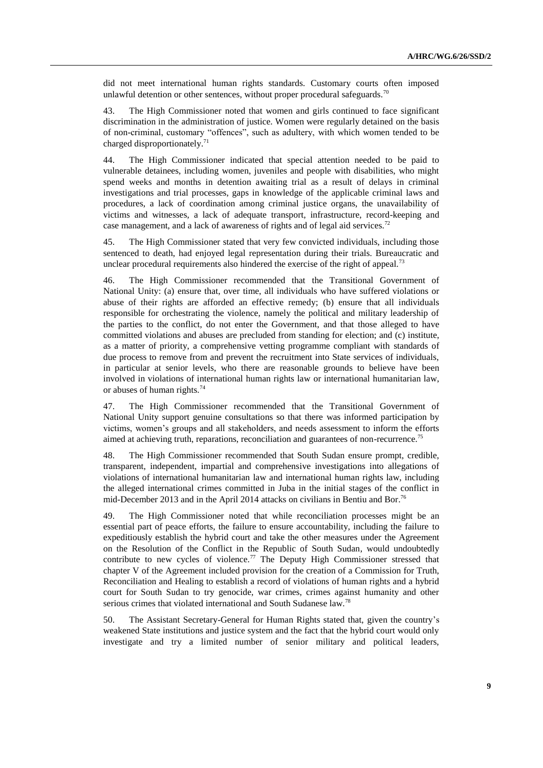did not meet international human rights standards. Customary courts often imposed unlawful detention or other sentences, without proper procedural safeguards.<sup>70</sup>

43. The High Commissioner noted that women and girls continued to face significant discrimination in the administration of justice. Women were regularly detained on the basis of non-criminal, customary "offences", such as adultery, with which women tended to be charged disproportionately.<sup>71</sup>

44. The High Commissioner indicated that special attention needed to be paid to vulnerable detainees, including women, juveniles and people with disabilities, who might spend weeks and months in detention awaiting trial as a result of delays in criminal investigations and trial processes, gaps in knowledge of the applicable criminal laws and procedures, a lack of coordination among criminal justice organs, the unavailability of victims and witnesses, a lack of adequate transport, infrastructure, record-keeping and case management, and a lack of awareness of rights and of legal aid services.<sup>72</sup>

45. The High Commissioner stated that very few convicted individuals, including those sentenced to death, had enjoyed legal representation during their trials. Bureaucratic and unclear procedural requirements also hindered the exercise of the right of appeal.<sup>73</sup>

46. The High Commissioner recommended that the Transitional Government of National Unity: (a) ensure that, over time, all individuals who have suffered violations or abuse of their rights are afforded an effective remedy; (b) ensure that all individuals responsible for orchestrating the violence, namely the political and military leadership of the parties to the conflict, do not enter the Government, and that those alleged to have committed violations and abuses are precluded from standing for election; and (c) institute, as a matter of priority, a comprehensive vetting programme compliant with standards of due process to remove from and prevent the recruitment into State services of individuals, in particular at senior levels, who there are reasonable grounds to believe have been involved in violations of international human rights law or international humanitarian law, or abuses of human rights. $74$ 

47. The High Commissioner recommended that the Transitional Government of National Unity support genuine consultations so that there was informed participation by victims, women's groups and all stakeholders, and needs assessment to inform the efforts aimed at achieving truth, reparations, reconciliation and guarantees of non-recurrence.<sup>75</sup>

48. The High Commissioner recommended that South Sudan ensure prompt, credible, transparent, independent, impartial and comprehensive investigations into allegations of violations of international humanitarian law and international human rights law, including the alleged international crimes committed in Juba in the initial stages of the conflict in mid-December 2013 and in the April 2014 attacks on civilians in Bentiu and Bor.<sup>76</sup>

49. The High Commissioner noted that while reconciliation processes might be an essential part of peace efforts, the failure to ensure accountability, including the failure to expeditiously establish the hybrid court and take the other measures under the Agreement on the Resolution of the Conflict in the Republic of South Sudan, would undoubtedly contribute to new cycles of violence.<sup>77</sup> The Deputy High Commissioner stressed that chapter V of the Agreement included provision for the creation of a Commission for Truth, Reconciliation and Healing to establish a record of violations of human rights and a hybrid court for South Sudan to try genocide, war crimes, crimes against humanity and other serious crimes that violated international and South Sudanese law.<sup>78</sup>

50. The Assistant Secretary-General for Human Rights stated that, given the country's weakened State institutions and justice system and the fact that the hybrid court would only investigate and try a limited number of senior military and political leaders,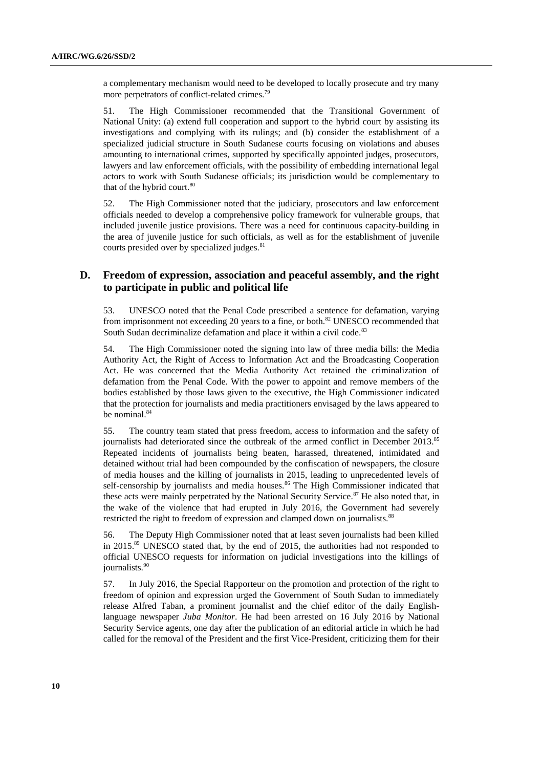a complementary mechanism would need to be developed to locally prosecute and try many more perpetrators of conflict-related crimes.<sup>79</sup>

51. The High Commissioner recommended that the Transitional Government of National Unity: (a) extend full cooperation and support to the hybrid court by assisting its investigations and complying with its rulings; and (b) consider the establishment of a specialized judicial structure in South Sudanese courts focusing on violations and abuses amounting to international crimes, supported by specifically appointed judges, prosecutors, lawyers and law enforcement officials, with the possibility of embedding international legal actors to work with South Sudanese officials; its jurisdiction would be complementary to that of the hybrid court.<sup>80</sup>

52. The High Commissioner noted that the judiciary, prosecutors and law enforcement officials needed to develop a comprehensive policy framework for vulnerable groups, that included juvenile justice provisions. There was a need for continuous capacity-building in the area of juvenile justice for such officials, as well as for the establishment of juvenile courts presided over by specialized judges.<sup>81</sup>

### **D. Freedom of expression, association and peaceful assembly, and the right to participate in public and political life**

53. UNESCO noted that the Penal Code prescribed a sentence for defamation, varying from imprisonment not exceeding 20 years to a fine, or both. $82$  UNESCO recommended that South Sudan decriminalize defamation and place it within a civil code.<sup>83</sup>

54. The High Commissioner noted the signing into law of three media bills: the Media Authority Act, the Right of Access to Information Act and the Broadcasting Cooperation Act. He was concerned that the Media Authority Act retained the criminalization of defamation from the Penal Code. With the power to appoint and remove members of the bodies established by those laws given to the executive, the High Commissioner indicated that the protection for journalists and media practitioners envisaged by the laws appeared to be nominal.<sup>84</sup>

55. The country team stated that press freedom, access to information and the safety of journalists had deteriorated since the outbreak of the armed conflict in December 2013.<sup>85</sup> Repeated incidents of journalists being beaten, harassed, threatened, intimidated and detained without trial had been compounded by the confiscation of newspapers, the closure of media houses and the killing of journalists in 2015, leading to unprecedented levels of self-censorship by journalists and media houses.<sup>86</sup> The High Commissioner indicated that these acts were mainly perpetrated by the National Security Service.<sup>87</sup> He also noted that, in the wake of the violence that had erupted in July 2016, the Government had severely restricted the right to freedom of expression and clamped down on journalists.<sup>88</sup>

56. The Deputy High Commissioner noted that at least seven journalists had been killed in 2015. <sup>89</sup> UNESCO stated that, by the end of 2015, the authorities had not responded to official UNESCO requests for information on judicial investigations into the killings of journalists.<sup>90</sup>

57. In July 2016, the Special Rapporteur on the promotion and protection of the right to freedom of opinion and expression urged the Government of South Sudan to immediately release Alfred Taban, a prominent journalist and the chief editor of the daily Englishlanguage newspaper *Juba Monitor*. He had been arrested on 16 July 2016 by National Security Service agents, one day after the publication of an editorial article in which he had called for the removal of the President and the first Vice-President, criticizing them for their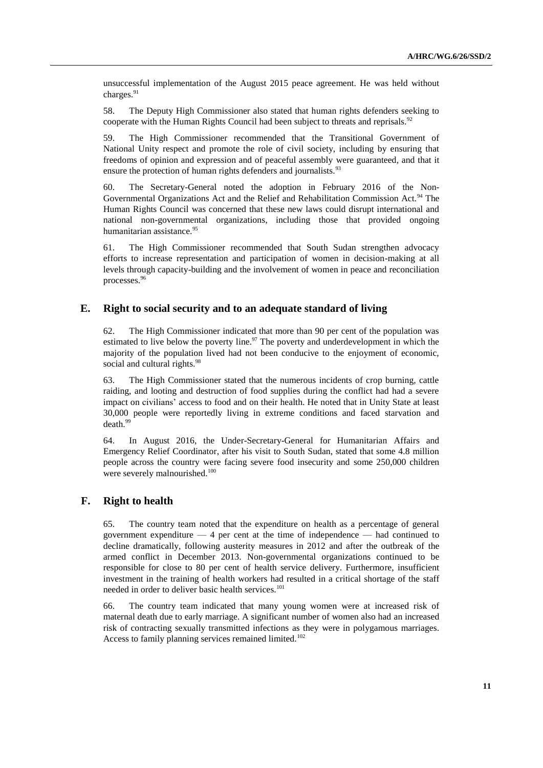unsuccessful implementation of the August 2015 peace agreement. He was held without charges.<sup>91</sup>

58. The Deputy High Commissioner also stated that human rights defenders seeking to cooperate with the Human Rights Council had been subject to threats and reprisals.<sup>92</sup>

59. The High Commissioner recommended that the Transitional Government of National Unity respect and promote the role of civil society, including by ensuring that freedoms of opinion and expression and of peaceful assembly were guaranteed, and that it ensure the protection of human rights defenders and journalists.<sup>93</sup>

60. The Secretary-General noted the adoption in February 2016 of the Non-Governmental Organizations Act and the Relief and Rehabilitation Commission Act.<sup>94</sup> The Human Rights Council was concerned that these new laws could disrupt international and national non-governmental organizations, including those that provided ongoing humanitarian assistance.<sup>95</sup>

61. The High Commissioner recommended that South Sudan strengthen advocacy efforts to increase representation and participation of women in decision-making at all levels through capacity-building and the involvement of women in peace and reconciliation processes.<sup>96</sup>

### **E. Right to social security and to an adequate standard of living**

62. The High Commissioner indicated that more than 90 per cent of the population was estimated to live below the poverty line.<sup>97</sup> The poverty and underdevelopment in which the majority of the population lived had not been conducive to the enjoyment of economic, social and cultural rights.<sup>98</sup>

63. The High Commissioner stated that the numerous incidents of crop burning, cattle raiding, and looting and destruction of food supplies during the conflict had had a severe impact on civilians' access to food and on their health. He noted that in Unity State at least 30,000 people were reportedly living in extreme conditions and faced starvation and death.<sup>99</sup>

64. In August 2016, the Under-Secretary-General for Humanitarian Affairs and Emergency Relief Coordinator, after his visit to South Sudan, stated that some 4.8 million people across the country were facing severe food insecurity and some 250,000 children were severely malnourished.<sup>100</sup>

### **F. Right to health**

65. The country team noted that the expenditure on health as a percentage of general government expenditure  $-4$  per cent at the time of independence  $-$  had continued to decline dramatically, following austerity measures in 2012 and after the outbreak of the armed conflict in December 2013. Non-governmental organizations continued to be responsible for close to 80 per cent of health service delivery. Furthermore, insufficient investment in the training of health workers had resulted in a critical shortage of the staff needed in order to deliver basic health services.<sup>101</sup>

66. The country team indicated that many young women were at increased risk of maternal death due to early marriage. A significant number of women also had an increased risk of contracting sexually transmitted infections as they were in polygamous marriages. Access to family planning services remained limited.<sup>102</sup>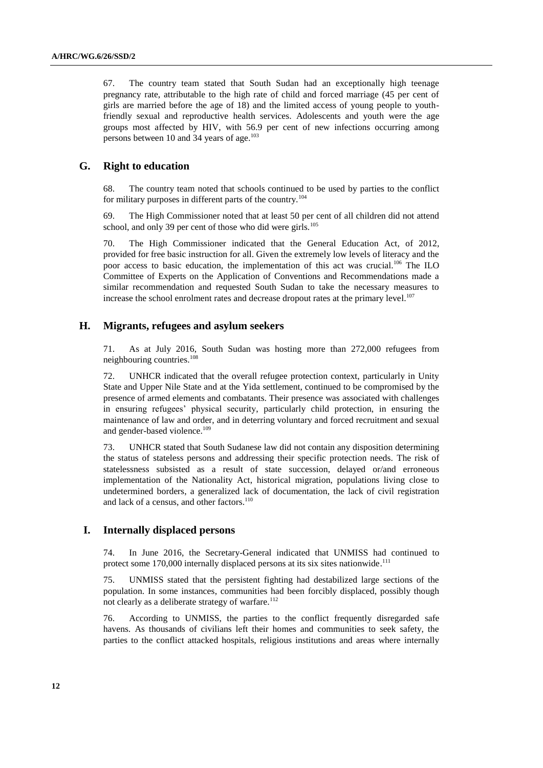67. The country team stated that South Sudan had an exceptionally high teenage pregnancy rate, attributable to the high rate of child and forced marriage (45 per cent of girls are married before the age of 18) and the limited access of young people to youthfriendly sexual and reproductive health services. Adolescents and youth were the age groups most affected by HIV, with 56.9 per cent of new infections occurring among persons between 10 and 34 years of age.<sup>103</sup>

### **G. Right to education**

68. The country team noted that schools continued to be used by parties to the conflict for military purposes in different parts of the country.<sup>104</sup>

69. The High Commissioner noted that at least 50 per cent of all children did not attend school, and only 39 per cent of those who did were girls.<sup>105</sup>

70. The High Commissioner indicated that the General Education Act, of 2012, provided for free basic instruction for all. Given the extremely low levels of literacy and the poor access to basic education, the implementation of this act was crucial.<sup>106</sup> The ILO Committee of Experts on the Application of Conventions and Recommendations made a similar recommendation and requested South Sudan to take the necessary measures to increase the school enrolment rates and decrease dropout rates at the primary level.<sup>107</sup>

### **H. Migrants, refugees and asylum seekers**

71. As at July 2016, South Sudan was hosting more than 272,000 refugees from neighbouring countries.<sup>108</sup>

72. UNHCR indicated that the overall refugee protection context, particularly in Unity State and Upper Nile State and at the Yida settlement, continued to be compromised by the presence of armed elements and combatants. Their presence was associated with challenges in ensuring refugees' physical security, particularly child protection, in ensuring the maintenance of law and order, and in deterring voluntary and forced recruitment and sexual and gender-based violence.<sup>109</sup>

73. UNHCR stated that South Sudanese law did not contain any disposition determining the status of stateless persons and addressing their specific protection needs. The risk of statelessness subsisted as a result of state succession, delayed or/and erroneous implementation of the Nationality Act, historical migration, populations living close to undetermined borders, a generalized lack of documentation, the lack of civil registration and lack of a census, and other factors. 110

### **I. Internally displaced persons**

74. In June 2016, the Secretary-General indicated that UNMISS had continued to protect some 170,000 internally displaced persons at its six sites nationwide.<sup>111</sup>

75. UNMISS stated that the persistent fighting had destabilized large sections of the population. In some instances, communities had been forcibly displaced, possibly though not clearly as a deliberate strategy of warfare.<sup>112</sup>

76. According to UNMISS, the parties to the conflict frequently disregarded safe havens. As thousands of civilians left their homes and communities to seek safety, the parties to the conflict attacked hospitals, religious institutions and areas where internally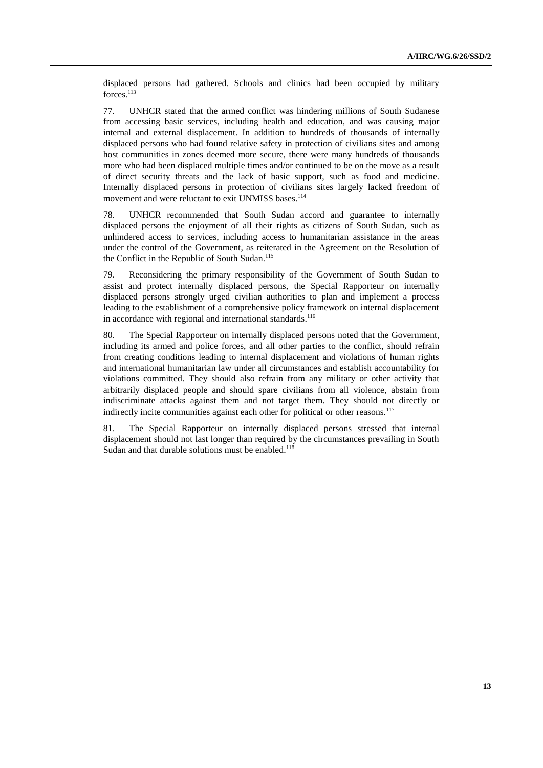displaced persons had gathered. Schools and clinics had been occupied by military forces.<sup>113</sup>

77. UNHCR stated that the armed conflict was hindering millions of South Sudanese from accessing basic services, including health and education, and was causing major internal and external displacement. In addition to hundreds of thousands of internally displaced persons who had found relative safety in protection of civilians sites and among host communities in zones deemed more secure, there were many hundreds of thousands more who had been displaced multiple times and/or continued to be on the move as a result of direct security threats and the lack of basic support, such as food and medicine. Internally displaced persons in protection of civilians sites largely lacked freedom of movement and were reluctant to exit UNMISS bases.<sup>114</sup>

78. UNHCR recommended that South Sudan accord and guarantee to internally displaced persons the enjoyment of all their rights as citizens of South Sudan, such as unhindered access to services, including access to humanitarian assistance in the areas under the control of the Government, as reiterated in the Agreement on the Resolution of the Conflict in the Republic of South Sudan. 115

79. Reconsidering the primary responsibility of the Government of South Sudan to assist and protect internally displaced persons, the Special Rapporteur on internally displaced persons strongly urged civilian authorities to plan and implement a process leading to the establishment of a comprehensive policy framework on internal displacement in accordance with regional and international standards.<sup>116</sup>

80. The Special Rapporteur on internally displaced persons noted that the Government, including its armed and police forces, and all other parties to the conflict, should refrain from creating conditions leading to internal displacement and violations of human rights and international humanitarian law under all circumstances and establish accountability for violations committed. They should also refrain from any military or other activity that arbitrarily displaced people and should spare civilians from all violence, abstain from indiscriminate attacks against them and not target them. They should not directly or indirectly incite communities against each other for political or other reasons.<sup>117</sup>

81. The Special Rapporteur on internally displaced persons stressed that internal displacement should not last longer than required by the circumstances prevailing in South Sudan and that durable solutions must be enabled. $118$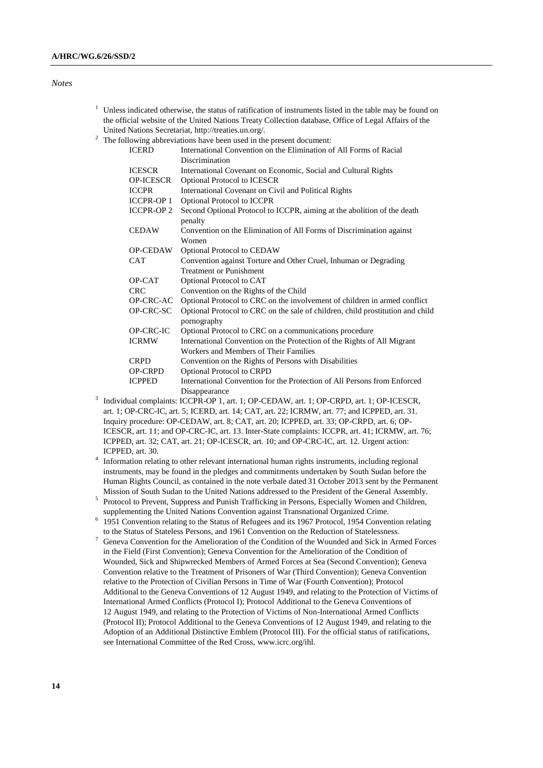#### *Notes*

- $1$  Unless indicated otherwise, the status of ratification of instruments listed in the table may be found on the official website of the United Nations Treaty Collection database, Office of Legal Affairs of the United Nations Secretariat, [http://treaties.un.org/.](http://treaties.un.org/)
- <sup>2</sup> The following abbreviations have been used in the present document:

| <b>ICERD</b>      | nowing aboreviations have been used in the present document.<br>International Convention on the Elimination of All Forms of Racial |
|-------------------|------------------------------------------------------------------------------------------------------------------------------------|
|                   | Discrimination                                                                                                                     |
| <b>ICESCR</b>     | International Covenant on Economic, Social and Cultural Rights                                                                     |
| <b>OP-ICESCR</b>  | <b>Optional Protocol to ICESCR</b>                                                                                                 |
| <b>ICCPR</b>      | International Covenant on Civil and Political Rights                                                                               |
| <b>ICCPR-OP 1</b> | <b>Optional Protocol to ICCPR</b>                                                                                                  |
| <b>ICCPR-OP2</b>  | Second Optional Protocol to ICCPR, aiming at the abolition of the death<br>penalty                                                 |
| <b>CEDAW</b>      | Convention on the Elimination of All Forms of Discrimination against<br>Women                                                      |
| <b>OP-CEDAW</b>   | Optional Protocol to CEDAW                                                                                                         |
| <b>CAT</b>        | Convention against Torture and Other Cruel, Inhuman or Degrading                                                                   |
|                   | <b>Treatment or Punishment</b>                                                                                                     |
| OP-CAT            | Optional Protocol to CAT                                                                                                           |
| <b>CRC</b>        | Convention on the Rights of the Child                                                                                              |
| OP-CRC-AC         | Optional Protocol to CRC on the involvement of children in armed conflict                                                          |
| OP-CRC-SC         | Optional Protocol to CRC on the sale of children, child prostitution and child<br>pornography                                      |
| OP-CRC-IC         | Optional Protocol to CRC on a communications procedure                                                                             |
| <b>ICRMW</b>      | International Convention on the Protection of the Rights of All Migrant                                                            |
|                   | Workers and Members of Their Families                                                                                              |
| <b>CRPD</b>       | Convention on the Rights of Persons with Disabilities                                                                              |
| <b>OP-CRPD</b>    | Optional Protocol to CRPD                                                                                                          |
| <b>ICPPED</b>     | International Convention for the Protection of All Persons from Enforced                                                           |
|                   | Disappearance                                                                                                                      |

- 3 Individual complaints: ICCPR-OP 1, art. 1; OP-CEDAW, art. 1; OP-CRPD, art. 1; OP-ICESCR, art. 1; OP-CRC-IC, art. 5; ICERD, art. 14; CAT, art. 22; ICRMW, art. 77; and ICPPED, art. 31. Inquiry procedure: OP-CEDAW, art. 8; CAT, art. 20; ICPPED, art. 33; OP-CRPD, art. 6; OP-ICESCR, art. 11; and OP-CRC-IC, art. 13. Inter-State complaints: ICCPR, art. 41; ICRMW, art. 76; ICPPED, art. 32; CAT, art. 21; OP-ICESCR, art. 10; and OP-CRC-IC, art. 12. Urgent action: ICPPED, art. 30.
- 4 Information relating to other relevant international human rights instruments, including regional instruments, may be found in the pledges and commitments undertaken by South Sudan before the Human Rights Council, as contained in the note verbale dated 31 October 2013 sent by the Permanent Mission of South Sudan to the United Nations addressed to the President of the General Assembly.
- <sup>5</sup> Protocol to Prevent, Suppress and Punish Trafficking in Persons, Especially Women and Children, supplementing the United Nations Convention against Transnational Organized Crime.
- <sup>6</sup> 1951 Convention relating to the Status of Refugees and its 1967 Protocol, 1954 Convention relating to the Status of Stateless Persons, and 1961 Convention on the Reduction of Statelessness.
- <sup>7</sup> Geneva Convention for the Amelioration of the Condition of the Wounded and Sick in Armed Forces in the Field (First Convention); Geneva Convention for the Amelioration of the Condition of Wounded, Sick and Shipwrecked Members of Armed Forces at Sea (Second Convention); Geneva Convention relative to the Treatment of Prisoners of War (Third Convention); Geneva Convention relative to the Protection of Civilian Persons in Time of War (Fourth Convention); Protocol Additional to the Geneva Conventions of 12 August 1949, and relating to the Protection of Victims of International Armed Conflicts (Protocol I); Protocol Additional to the Geneva Conventions of 12 August 1949, and relating to the Protection of Victims of Non-International Armed Conflicts (Protocol II); Protocol Additional to the Geneva Conventions of 12 August 1949, and relating to the Adoption of an Additional Distinctive Emblem (Protocol III). For the official status of ratifications, see International Committee of the Red Cross, www.icrc.org/ihl.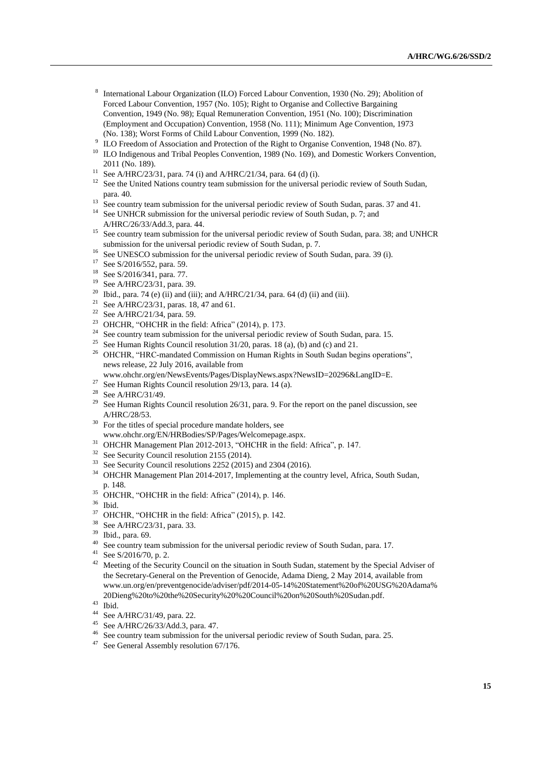- 8 International Labour Organization (ILO) Forced Labour Convention, 1930 (No. 29); Abolition of Forced Labour Convention, 1957 (No. 105); Right to Organise and Collective Bargaining Convention, 1949 (No. 98); Equal Remuneration Convention, 1951 (No. 100); Discrimination (Employment and Occupation) Convention, 1958 (No. 111); Minimum Age Convention, 1973 (No. 138); Worst Forms of Child Labour Convention, 1999 (No. 182).
- <sup>9</sup> ILO Freedom of Association and Protection of the Right to Organise Convention, 1948 (No. 87).
- <sup>10</sup> ILO Indigenous and Tribal Peoples Convention, 1989 (No. 169), and Domestic Workers Convention, 2011 (No. 189).
- <sup>11</sup> See A/HRC/23/31, para. 74 (i) and A/HRC/21/34, para. 64 (d) (i).
- <sup>12</sup> See the United Nations country team submission for the universal periodic review of South Sudan, para. 40.
- <sup>13</sup> See country team submission for the universal periodic review of South Sudan, paras. 37 and 41.
- <sup>14</sup> See UNHCR submission for the universal periodic review of South Sudan, p. 7; and A/HRC/26/33/Add.3, para. 44.
- <sup>15</sup> See country team submission for the universal periodic review of South Sudan, para. 38; and UNHCR submission for the universal periodic review of South Sudan, p. 7.
- <sup>16</sup> See UNESCO submission for the universal periodic review of South Sudan, para. 39 (i).
- <sup>17</sup> See S/2016/552, para. 59.
- <sup>18</sup> See S/2016/341, para. 77.
- <sup>19</sup> See A/HRC/23/31, para. 39.
- <sup>20</sup> Ibid., para. 74 (e) (ii) and (iii); and A/HRC/21/34, para. 64 (d) (ii) and (iii).
- <sup>21</sup> See A/HRC/23/31, paras. 18, 47 and 61.
- <sup>22</sup> See A/HRC/21/34, para. 59.<br><sup>23</sup> OUCUB "OUCUB in the fi
- OHCHR, "OHCHR in the field: Africa" (2014), p. 173.
- $24$  See country team submission for the universal periodic review of South Sudan, para. 15.
- <sup>25</sup> See Human Rights Council resolution  $31/20$ , paras. 18 (a), (b) and (c) and 21.
- <sup>26</sup> OHCHR, "HRC-mandated Commission on Human Rights in South Sudan begins operations", news release, 22 July 2016, available from
- www.ohchr.org/en/NewsEvents/Pages/DisplayNews.aspx?NewsID=20296&LangID=E.
- <sup>27</sup> See Human Rights Council resolution 29/13, para. 14 (a).<br><sup>28</sup> See A (UDC/21/40)
- $\frac{28}{29}$  See A/HRC/31/49.
- See Human Rights Council resolution 26/31, para. 9. For the report on the panel discussion, see A/HRC/28/53.
- <sup>30</sup> For the titles of special procedure mandate holders, see www.ohchr.org/EN/HRBodies/SP/Pages/Welcomepage.aspx.
- <sup>31</sup> OHCHR Management Plan 2012-2013, "OHCHR in the field: Africa", p. 147.
- <sup>32</sup> See Security Council resolution 2155 (2014).
- <sup>33</sup> See Security Council resolutions 2252 (2015) and 2304 (2016).
- <sup>34</sup> OHCHR Management Plan 2014-2017, Implementing at the country level, Africa, South Sudan, p. 148.
- <sup>35</sup> OHCHR, "OHCHR in the field: Africa" (2014), p. 146.
- <sup>36</sup> Ibid.
- <sup>37</sup> OHCHR, "OHCHR in the field: Africa" (2015), p. 142.
- $38$  See A/HRC/23/31, para. 33.<br> $39$  Ibid, name 60
- Ibid., para. 69.
- <sup>40</sup> See country team submission for the universal periodic review of South Sudan, para. 17.
- <sup>41</sup> See S/2016/70, p. 2.<br><sup>42</sup> Meeting of the Securi
- <sup>42</sup> Meeting of the Security Council on the situation in South Sudan, statement by the Special Adviser of the Secretary-General on the Prevention of Genocide, Adama Dieng, 2 May 2014, available from www.un.org/en/preventgenocide/adviser/pdf/2014-05-14%20Statement%20of%20USG%20Adama% 20Dieng%20to%20the%20Security%20%20Council%20on%20South%20Sudan.pdf.
- $\frac{43}{44}$  Ibid.
- <sup>44</sup> See A/HRC/31/49, para. 22.
- See A/HRC/26/33/Add.3, para. 47.
- <sup>46</sup> See country team submission for the universal periodic review of South Sudan, para. 25.<br><sup>47</sup> See General Assembly resolution  $67/176$
- See General Assembly resolution 67/176.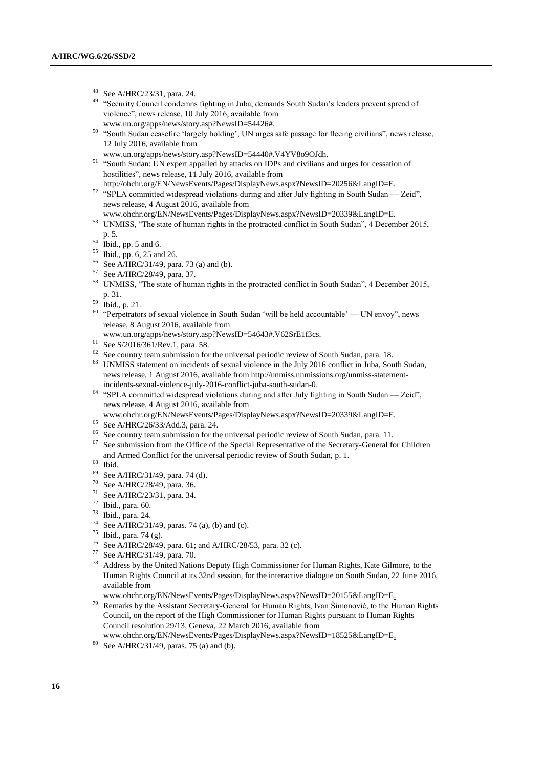- $^{48}$  See A/HRC/23/31, para. 24.
- <sup>49</sup> "Security Council condemns fighting in Juba, demands South Sudan's leaders prevent spread of violence", news release, 10 July 2016, available from [www.un.org/apps/news/story.asp?NewsID=54426#.](file:///C:/Users/Nozawa/AppData/Local/Temp/notesC0396F/www.un.org/apps/news/story.asp%3fNewsID=54426)
- <sup>50</sup> "South Sudan ceasefire 'largely holding'; UN urges safe passage for fleeing civilians", news release, 12 July 2016, available from
- [www.un.org/apps/news/story.asp?NewsID=54440#.V4YV8o9OJdh.](file:///C:/Users/Nozawa/AppData/Local/Temp/notesC0396F/www.un.org/apps/news/story.asp%3fNewsID=54440)
- <sup>51</sup> "South Sudan: UN expert appalled by attacks on IDPs and civilians and urges for cessation of hostilities", news release, 11 July 2016, available from
- http://ohchr.org/EN/NewsEvents/Pages/DisplayNews.aspx?NewsID=20256&LangID=E. <sup>52</sup> "SPLA committed widespread violations during and after July fighting in South Sudan — Zeid", news release, 4 August 2016, available from
- www.ohchr.org/EN/NewsEvents/Pages/DisplayNews.aspx?NewsID=20339&LangID=E.
- <sup>53</sup> UNMISS, "The state of human rights in the protracted conflict in South Sudan", 4 December 2015, p. 5.
- $54$  Ibid., pp. 5 and 6.
- <sup>55</sup> Ibid., pp. 6, 25 and 26.
- <sup>56</sup> See A/HRC/31/49, para. 73 (a) and (b).
- <sup>57</sup> See A/HRC/28/49, para. 37.
- <sup>58</sup> UNMISS, "The state of human rights in the protracted conflict in South Sudan", 4 December 2015, p. 31.
- $59$  Ibid., p. 21.
- <sup>60</sup> "Perpetrators of sexual violence in South Sudan 'will be held accountable' UN envoy", news release, 8 August 2016, available from
- www.un.org/apps/news/story.asp?NewsID=54643#.V62SrE1f3cs.
- $^{61}$  See S/2016/361/Rev.1, para. 58.
- See country team submission for the universal periodic review of South Sudan, para. 18.
- <sup>63</sup> UNMISS statement on incidents of sexual violence in the July 2016 conflict in Juba, South Sudan, news release, 1 August 2016, available fro[m http://unmiss.unmissions.org/unmiss-statement](http://unmiss.unmissions.org/unmiss-statement-incidents-sexual-violence-july-2016-conflict-juba-south-sudan-0)[incidents-sexual-violence-july-2016-conflict-juba-south-sudan-0.](http://unmiss.unmissions.org/unmiss-statement-incidents-sexual-violence-july-2016-conflict-juba-south-sudan-0)
- <sup>64</sup> "SPLA committed widespread violations during and after July fighting in South Sudan Zeid", news release, 4 August 2016, available from
- www.ohchr.org/EN/NewsEvents/Pages/DisplayNews.aspx?NewsID=20339&LangID=E.
- <sup>65</sup> See A/HRC/26/33/Add.3, para. 24.
- <sup>66</sup> See country team submission for the universal periodic review of South Sudan, para. 11.<br><sup>67</sup> See submission from the Office of the Special Benggeometrics of the Secretary Cancrel for
- See submission from the Office of the Special Representative of the Secretary-General for Children and Armed Conflict for the universal periodic review of South Sudan, p. 1.
- $\begin{matrix} 68 \\ 69 \\ 522 \end{matrix}$
- See A/HRC/31/49, para. 74 (d).
- <sup>70</sup> See A/HRC/28/49, para. 36.
- <sup>71</sup> See A/HRC/23/31, para. 34.
- <sup>72</sup> Ibid., para. 60.
- <sup>73</sup> Ibid., para. 24.
- <sup>74</sup> See A/HRC/31/49, paras. 74 (a), (b) and (c).<br><sup>75</sup> Ibid. 2002,  $7^{4}$  (c).
- $^{75}$  Ibid., para. 74 (g).
- <sup>76</sup> See A/HRC/28/49, para. 61; and A/HRC/28/53, para. 32 (c).<br><sup>77</sup> See A/HRC/21/40, para. 70
- See A/HRC/31/49, para. 70.
- <sup>78</sup> Address by the United Nations Deputy High Commissioner for Human Rights, Kate Gilmore, to the Human Rights Council at its 32nd session, for the interactive dialogue on South Sudan, 22 June 2016, available from
- [www.ohchr.org/EN/NewsEvents/Pages/DisplayNews.aspx?NewsID=20155&LangID=E.](file:///C:/Users/Nozawa/AppData/Local/Temp/notesC0396F/www.ohchr.org/EN/NewsEvents/Pages/DisplayNews.aspx%3fNewsID=20155&LangID=E)
- <sup>79</sup> Remarks by the Assistant Secretary-General for Human Rights, Ivan Šimonović, to the Human Rights Council, on the report of the High Commissioner for Human Rights pursuant to Human Rights Council resolution 29/13, Geneva, 22 March 2016, available from
- [www.ohchr.org/EN/NewsEvents/Pages/DisplayNews.aspx?NewsID=18525&LangID=E.](file:///C:/Users/Nozawa/AppData/Local/Temp/notesC0396F/www.ohchr.org/EN/NewsEvents/Pages/DisplayNews.aspx%3fNewsID=18525&LangID=E)
- <sup>80</sup> See A/HRC/31/49, paras. 75 (a) and (b).